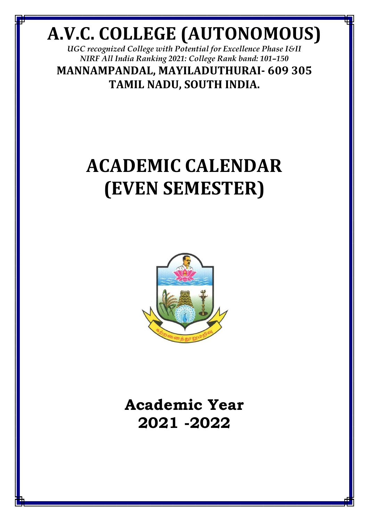## **A.V.C. COLLEGE (AUTONOMOUS)**

*UGC recognized College with Potential for Excellence Phase I&II NIRF All India Ranking 2021: College Rank band: 101–150* **MANNAMPANDAL, MAYILADUTHURAI- 609 305 TAMIL NADU, SOUTH INDIA.**

## **ACADEMIC CALENDAR (EVEN SEMESTER)**



**Academic Year 2021 -2022**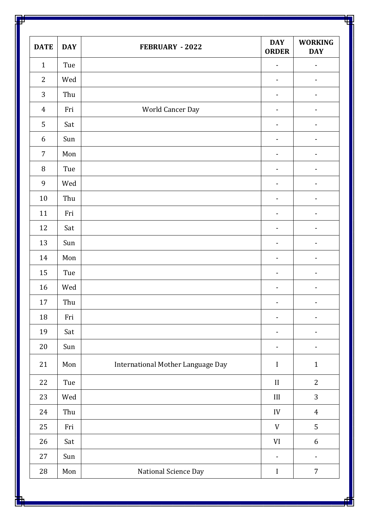| <b>DATE</b>      | <b>DAY</b> | FEBRUARY - 2022                   | <b>DAY</b><br><b>ORDER</b>   | <b>WORKING</b><br><b>DAY</b> |
|------------------|------------|-----------------------------------|------------------------------|------------------------------|
| $\mathbf{1}$     | Tue        |                                   | $\qquad \qquad \blacksquare$ | $\blacksquare$               |
| $\overline{2}$   | Wed        |                                   | $\overline{\phantom{0}}$     | $\overline{\phantom{a}}$     |
| 3                | Thu        |                                   | $\overline{\phantom{0}}$     | $\overline{\phantom{a}}$     |
| $\boldsymbol{4}$ | Fri        | World Cancer Day                  | $\overline{\phantom{0}}$     | $\overline{\phantom{a}}$     |
| 5                | Sat        |                                   | $\qquad \qquad \blacksquare$ | $\overline{\phantom{a}}$     |
| 6                | Sun        |                                   | $\overline{\phantom{0}}$     | $\overline{\phantom{a}}$     |
| $\overline{7}$   | Mon        |                                   | $\overline{\phantom{0}}$     | $\overline{\phantom{a}}$     |
| $\, 8$           | Tue        |                                   | $\overline{\phantom{0}}$     | $\overline{\phantom{a}}$     |
| 9                | Wed        |                                   | $\qquad \qquad \blacksquare$ | $\overline{\phantom{a}}$     |
| $10\,$           | Thu        |                                   | -                            | $\overline{\phantom{a}}$     |
| 11               | Fri        |                                   | $\overline{\phantom{0}}$     | $\overline{\phantom{a}}$     |
| 12               | Sat        |                                   | $\overline{\phantom{0}}$     | $\overline{\phantom{a}}$     |
| 13               | Sun        |                                   | $\overline{\phantom{0}}$     | $\overline{\phantom{a}}$     |
| 14               | Mon        |                                   | -                            | $\blacksquare$               |
| 15               | Tue        |                                   | -                            | $\overline{\phantom{a}}$     |
| 16               | Wed        |                                   | $\qquad \qquad \blacksquare$ | $\overline{\phantom{a}}$     |
| 17               | Thu        |                                   | $\blacksquare$               | $\blacksquare$               |
| 18               | Fri        |                                   | -                            | $\qquad \qquad \blacksquare$ |
| 19               | Sat        |                                   | -                            | $\overline{a}$               |
| 20               | Sun        |                                   | -                            | $\blacksquare$               |
| 21               | Mon        | International Mother Language Day | $\bf I$                      | $\mathbf{1}$                 |
| 22               | Tue        |                                   | $\mathbf{I}$                 | $\overline{2}$               |
| 23               | Wed        |                                   | $\rm III$                    | 3                            |
| 24               | Thu        |                                   | IV                           | $\overline{4}$               |
| 25               | Fri        |                                   | $\mathbf V$                  | 5                            |
| 26               | Sat        |                                   | VI                           | 6                            |
| $27\,$           | Sun        |                                   | $\overline{\phantom{0}}$     | $\blacksquare$               |
| 28               | Mon        | National Science Day              | $\bf I$                      | $\overline{7}$               |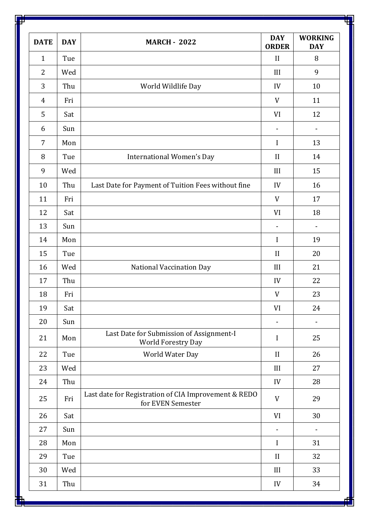| <b>DATE</b>    | <b>DAY</b> | <b>MARCH - 2022</b>                                                       | <b>DAY</b><br><b>ORDER</b> | <b>WORKING</b><br><b>DAY</b> |
|----------------|------------|---------------------------------------------------------------------------|----------------------------|------------------------------|
| $\mathbf{1}$   | Tue        |                                                                           | II                         | 8                            |
| $\overline{2}$ | Wed        |                                                                           | III                        | 9                            |
| 3              | Thu        | World Wildlife Day                                                        | IV                         | 10                           |
| 4              | Fri        |                                                                           | V                          | 11                           |
| 5              | Sat        |                                                                           | VI                         | 12                           |
| 6              | Sun        |                                                                           | $\blacksquare$             | $\overline{\phantom{0}}$     |
| 7              | Mon        |                                                                           | $\bf I$                    | 13                           |
| 8              | Tue        | <b>International Women's Day</b>                                          | II                         | 14                           |
| 9              | Wed        |                                                                           | III                        | 15                           |
| 10             | Thu        | Last Date for Payment of Tuition Fees without fine                        | IV                         | 16                           |
| 11             | Fri        |                                                                           | V                          | 17                           |
| 12             | Sat        |                                                                           | VI                         | 18                           |
| 13             | Sun        |                                                                           | $\blacksquare$             | $\blacksquare$               |
| 14             | Mon        |                                                                           | $\mathbf I$                | 19                           |
| 15             | Tue        |                                                                           | II                         | 20                           |
| 16             | Wed        | National Vaccination Day                                                  | III                        | 21                           |
| 17             | Thu        |                                                                           | IV                         | 22                           |
| 18             | Fri        |                                                                           | $\ensuremath{\mathsf{V}}$  | 23                           |
| 19             | Sat        |                                                                           | VI                         | 24                           |
| 20             | Sun        |                                                                           | $\overline{a}$             |                              |
| 21             | Mon        | Last Date for Submission of Assignment-I<br><b>World Forestry Day</b>     | I                          | 25                           |
| 22             | Tue        | World Water Day                                                           | II                         | 26                           |
| 23             | Wed        |                                                                           | III                        | 27                           |
| 24             | Thu        |                                                                           | IV                         | 28                           |
| 25             | Fri        | Last date for Registration of CIA Improvement & REDO<br>for EVEN Semester | V                          | 29                           |
| 26             | Sat        |                                                                           | VI                         | 30                           |
| 27             | Sun        |                                                                           | $\overline{\phantom{a}}$   | -                            |
| 28             | Mon        |                                                                           | $\bf I$                    | 31                           |
| 29             | Tue        |                                                                           | II                         | 32                           |
| 30             | Wed        |                                                                           | III                        | 33                           |
| 31             | Thu        |                                                                           | IV                         | 34                           |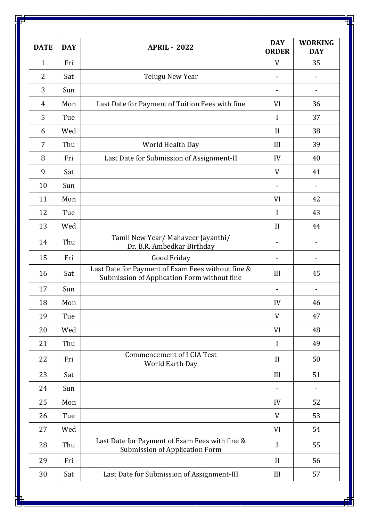| <b>DATE</b>    | <b>DAY</b> | <b>APRIL - 2022</b>                                                                              | <b>DAY</b><br><b>ORDER</b> | <b>WORKING</b><br><b>DAY</b> |
|----------------|------------|--------------------------------------------------------------------------------------------------|----------------------------|------------------------------|
| $\mathbf{1}$   | Fri        |                                                                                                  | V                          | 35                           |
| $\overline{2}$ | Sat        | Telugu New Year                                                                                  |                            |                              |
| 3              | Sun        |                                                                                                  |                            |                              |
| 4              | Mon        | Last Date for Payment of Tuition Fees with fine                                                  | VI                         | 36                           |
| 5              | Tue        |                                                                                                  | I                          | 37                           |
| 6              | Wed        |                                                                                                  | II                         | 38                           |
| 7              | Thu        | World Health Day                                                                                 | III                        | 39                           |
| 8              | Fri        | Last Date for Submission of Assignment-II                                                        | IV                         | 40                           |
| 9              | Sat        |                                                                                                  | V                          | 41                           |
| 10             | Sun        |                                                                                                  | $\overline{\phantom{a}}$   |                              |
| 11             | Mon        |                                                                                                  | VI                         | 42                           |
| 12             | Tue        |                                                                                                  | I                          | 43                           |
| 13             | Wed        |                                                                                                  | II                         | 44                           |
| 14             | Thu        | Tamil New Year/ Mahaveer Jayanthi/<br>Dr. B.R. Ambedkar Birthday                                 |                            |                              |
| 15             | Fri        | Good Friday                                                                                      |                            |                              |
| 16             | Sat        | Last Date for Payment of Exam Fees without fine &<br>Submission of Application Form without fine | III                        | 45                           |
| 17             | Sun        |                                                                                                  |                            |                              |
| 18             | Mon        |                                                                                                  | IV                         | 46                           |
| 19             | Tue        |                                                                                                  | V                          | 47                           |
| 20             | Wed        |                                                                                                  | VI                         | 48                           |
| 21             | Thu        |                                                                                                  | I                          | 49                           |
| 22             | Fri        | <b>Commencement of I CIA Test</b><br>World Earth Day                                             | II                         | 50                           |
| 23             | Sat        |                                                                                                  | III                        | 51                           |
| 24             | Sun        |                                                                                                  |                            |                              |
| 25             | Mon        |                                                                                                  | IV                         | 52                           |
| 26             | Tue        |                                                                                                  | V                          | 53                           |
| 27             | Wed        |                                                                                                  | VI                         | 54                           |
| 28             | Thu        | Last Date for Payment of Exam Fees with fine &<br>Submission of Application Form                 | I                          | 55                           |
| 29             | Fri        |                                                                                                  | II                         | 56                           |
| 30             | Sat        | Last Date for Submission of Assignment-III                                                       | III                        | 57                           |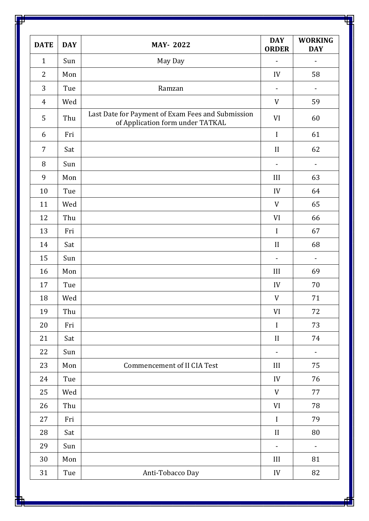| <b>DATE</b>    | <b>DAY</b> | <b>MAY-2022</b>                                                                       | <b>DAY</b><br><b>ORDER</b>   | <b>WORKING</b><br><b>DAY</b> |
|----------------|------------|---------------------------------------------------------------------------------------|------------------------------|------------------------------|
| $\mathbf{1}$   | Sun        | May Day                                                                               | $\blacksquare$               | $\overline{\phantom{0}}$     |
| $\overline{2}$ | Mon        |                                                                                       | IV                           | 58                           |
| 3              | Tue        | Ramzan                                                                                | $\qquad \qquad \blacksquare$ | $\qquad \qquad \blacksquare$ |
| $\overline{4}$ | Wed        |                                                                                       | V                            | 59                           |
| 5              | Thu        | Last Date for Payment of Exam Fees and Submission<br>of Application form under TATKAL | VI                           | 60                           |
| 6              | Fri        |                                                                                       | I                            | 61                           |
| 7              | Sat        |                                                                                       | II                           | 62                           |
| 8              | Sun        |                                                                                       | $\overline{\phantom{a}}$     | $\blacksquare$               |
| 9              | Mon        |                                                                                       | III                          | 63                           |
| 10             | Tue        |                                                                                       | IV                           | 64                           |
| 11             | Wed        |                                                                                       | V                            | 65                           |
| 12             | Thu        |                                                                                       | VI                           | 66                           |
| 13             | Fri        |                                                                                       | I                            | 67                           |
| 14             | Sat        |                                                                                       | II                           | 68                           |
| 15             | Sun        |                                                                                       | $\blacksquare$               | $\overline{\phantom{0}}$     |
| 16             | Mon        |                                                                                       | III                          | 69                           |
| 17             | Tue        |                                                                                       | IV                           | 70                           |
| 18             | Wed        |                                                                                       | V                            | 71                           |
| 19             | Thu        |                                                                                       | VI                           | 72                           |
| 20             | Fri        |                                                                                       | $\mathbf I$                  | 73                           |
| 21             | Sat        |                                                                                       | II                           | 74                           |
| 22             | Sun        |                                                                                       | ۰                            | $\blacksquare$               |
| 23             | Mon        | <b>Commencement of II CIA Test</b>                                                    | III                          | 75                           |
| 24             | Tue        |                                                                                       | IV                           | 76                           |
| 25             | Wed        |                                                                                       | V                            | 77                           |
| 26             | Thu        |                                                                                       | VI                           | 78                           |
| 27             | Fri        |                                                                                       | $\mathbf I$                  | 79                           |
| 28             | Sat        |                                                                                       | II                           | 80                           |
| 29             | Sun        |                                                                                       | $\overline{\phantom{0}}$     | $\overline{\phantom{0}}$     |
| 30             | Mon        |                                                                                       | III                          | 81                           |
| 31             | Tue        | Anti-Tobacco Day                                                                      | IV                           | 82                           |